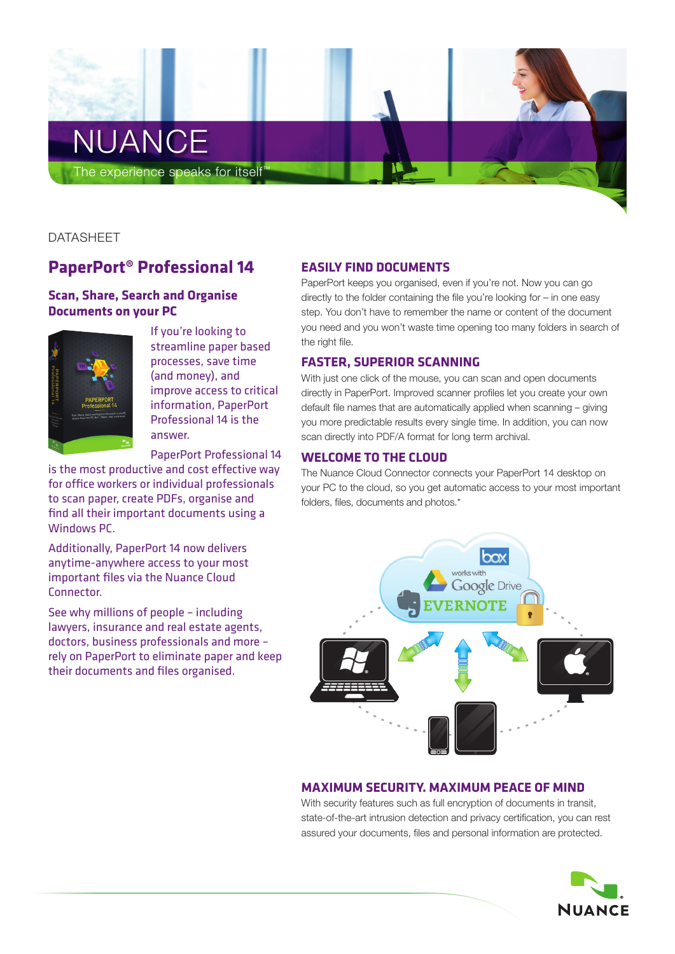

DATASHEET

# **PaperPort® Professional 14**

# **Scan, Share, Search and Organise Documents on your PC**



If you're looking to streamline paper based processes, save time (and money), and improve access to critical information, PaperPort Professional 14 is the answer.

PaperPort Professional 14

is the most productive and cost effective way for office workers or individual professionals to scan paper, create PDFs, organise and find all their important documents using a Windows PC.

Additionally, PaperPort 14 now delivers anytime-anywhere access to your most important files via the Nuance Cloud Connector.

See why millions of people – including lawyers, insurance and real estate agents, doctors, business professionals and more – rely on PaperPort to eliminate paper and keep their documents and files organised.

# **Easily Find Documents**

PaperPort keeps you organised, even if you're not. Now you can go directly to the folder containing the file you're looking for – in one easy step. You don't have to remember the name or content of the document you need and you won't waste time opening too many folders in search of the right file.

### **Faster, Superior Scanning**

With just one click of the mouse, you can scan and open documents directly in PaperPort. Improved scanner profiles let you create your own default file names that are automatically applied when scanning – giving you more predictable results every single time. In addition, you can now scan directly into PDF/A format for long term archival.

# **Welcome to the Cloud**

The Nuance Cloud Connector connects your PaperPort 14 desktop on your PC to the cloud, so you get automatic access to your most important folders, files, documents and photos.\*



# **Maximum Security. Maximum Peace of Mind**

With security features such as full encryption of documents in transit, state-of-the-art intrusion detection and privacy certification, you can rest assured your documents, files and personal information are protected.